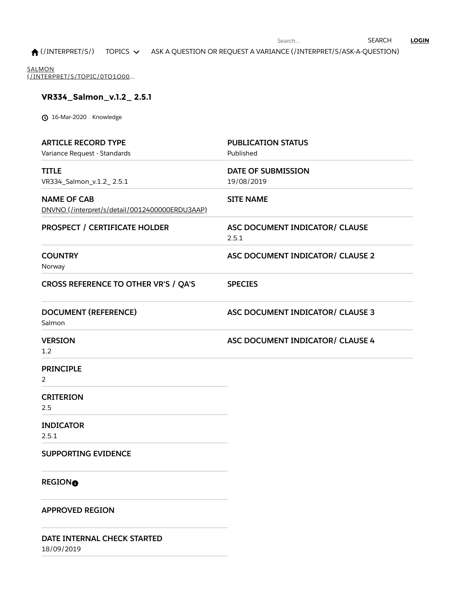$\bigtriangleup$  [\(/INTERPRET/S/\)](https://asc-portal.force.com/interpret/s/) TOPICS  $\vee$  ASK A QUESTION OR REQUEST A VARIANCE [\(/INTERPRET/S/ASK-A-QUESTION\)](https://asc-portal.force.com/interpret/s/ask-a-question)

<u>SALMON</u> [\(/INTERPRET/S/TOPIC/0TO1O00…](https://asc-portal.force.com/interpret/s/topic/0TO1o0000008p7UGAQ/salmon)

# **VR334\_Salmon\_v.1.2\_ 2.5.1**

16-Mar-2020 • Knowledge

| <b>ARTICLE RECORD TYPE</b><br>Variance Request - Standards           | <b>PUBLICATION STATUS</b><br>Published  |
|----------------------------------------------------------------------|-----------------------------------------|
| <b>TITLE</b><br>VR334_Salmon_v.1.2_2.5.1                             | <b>DATE OF SUBMISSION</b><br>19/08/2019 |
| <b>NAME OF CAB</b><br>DNVNO (/interpret/s/detail/0012400000ERDU3AAP) | <b>SITE NAME</b>                        |
| <b>PROSPECT / CERTIFICATE HOLDER</b>                                 | ASC DOCUMENT INDICATOR/ CLAUSE<br>2.5.1 |
| <b>COUNTRY</b><br>Norway                                             | ASC DOCUMENT INDICATOR/ CLAUSE 2        |
| CROSS REFERENCE TO OTHER VR'S / QA'S                                 | <b>SPECIES</b>                          |
| <b>DOCUMENT (REFERENCE)</b><br>Salmon                                | ASC DOCUMENT INDICATOR/ CLAUSE 3        |
| <b>VERSION</b><br>1.2                                                | ASC DOCUMENT INDICATOR/ CLAUSE 4        |
| <b>PRINCIPLE</b><br>2                                                |                                         |
| <b>CRITERION</b><br>2.5                                              |                                         |
| <b>INDICATOR</b><br>2.5.1                                            |                                         |
| <b>SUPPORTING EVIDENCE</b>                                           |                                         |
| <b>REGIONO</b>                                                       |                                         |
| <b>APPROVED REGION</b>                                               |                                         |
| DATE INTERNAL CHECK STARTED                                          |                                         |

18/09/2019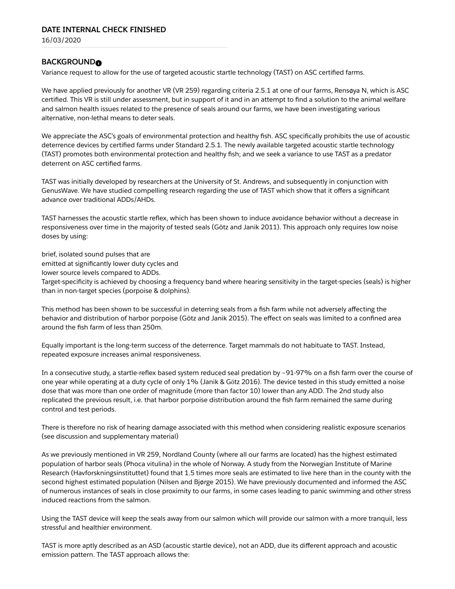16/03/2020

## **BACKGROUND®**

Variance request to allow for the use of targeted acoustic startle technology (TAST) on ASC certified farms.

We have applied previously for another VR (VR 259) regarding criteria 2.5.1 at one of our farms, Rensøya N, which is ASC certified. This VR is still under assessment, but in support of it and in an attempt to find a solution to the animal welfare and salmon health issues related to the presence of seals around our farms, we have been investigating various alternative, non-lethal means to deter seals.

We appreciate the ASC's goals of environmental protection and healthy fish. ASC specifically prohibits the use of acoustic deterrence devices by certified farms under Standard 2.5.1. The newly available targeted acoustic startle technology (TAST) promotes both environmental protection and healthy fish; and we seek a variance to use TAST as a predator deterrent on ASC certified farms.

TAST was initially developed by researchers at the University of St. Andrews, and subsequently in conjunction with GenusWave. We have studied compelling research regarding the use of TAST which show that it offers a significant advance over traditional ADDs/AHDs.

TAST harnesses the acoustic startle reflex, which has been shown to induce avoidance behavior without a decrease in responsiveness over time in the majority of tested seals (Götz and Janik 2011). This approach only requires low noise doses by using:

brief, isolated sound pulses that are

emitted at significantly lower duty cycles and

lower source levels compared to ADDs.

Target-specificity is achieved by choosing a frequency band where hearing sensitivity in the target-species (seals) is higher than in non-target species (porpoise & dolphins).

This method has been shown to be successful in deterring seals from a fish farm while not adversely affecting the behavior and distribution of harbor porpoise (Götz and Janik 2015). The effect on seals was limited to a confined area around the fish farm of less than 250m.

Equally important is the long-term success of the deterrence. Target mammals do not habituate to TAST. Instead, repeated exposure increases animal responsiveness.

In a consecutive study, a startle-reflex based system reduced seal predation by ~91-97% on a fish farm over the course of one year while operating at a duty cycle of only 1% (Janik & Gӧtz 2016). The device tested in this study emitted a noise dose that was more than one order of magnitude (more than factor 10) lower than any ADD. The 2nd study also replicated the previous result, i.e. that harbor porpoise distribution around the fish farm remained the same during control and test periods.

There is therefore no risk of hearing damage associated with this method when considering realistic exposure scenarios (see discussion and supplementary material)

As we previously mentioned in VR 259, Nordland County (where all our farms are located) has the highest estimated population of harbor seals (Phoca vitulina) in the whole of Norway. A study from the Norwegian Institute of Marine Research (Havforskningsinstituttet) found that 1.5 times more seals are estimated to live here than in the county with the second highest estimated population (Nilsen and Bjørge 2015). We have previously documented and informed the ASC of numerous instances of seals in close proximity to our farms, in some cases leading to panic swimming and other stress induced reactions from the salmon.

Using the TAST device will keep the seals away from our salmon which will provide our salmon with a more tranquil, less stressful and healthier environment.

TAST is more aptly described as an ASD (acoustic startle device), not an ADD, due its different approach and acoustic emission pattern. The TAST approach allows the: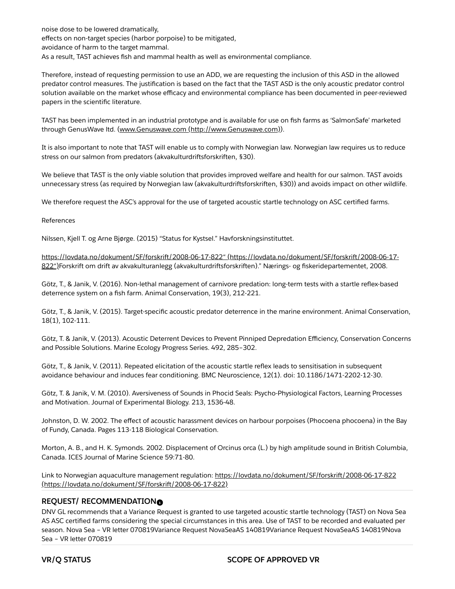noise dose to be lowered dramatically, effects on non-target species (harbor porpoise) to be mitigated, avoidance of harm to the target mammal. As a result, TAST achieves fish and mammal health as well as environmental compliance.

Therefore, instead of requesting permission to use an ADD, we are requesting the inclusion of this ASD in the allowed predator control measures. The justification is based on the fact that the TAST ASD is the only acoustic predator control solution available on the market whose efficacy and environmental compliance has been documented in peer-reviewed papers in the scientific literature.

TAST has been implemented in an industrial prototype and is available for use on fish farms as 'SalmonSafe' marketed through GenusWave ltd. (www.Genuswave.com [\(http://www.Genuswave.com\)\)](http://www.genuswave.com/).

It is also important to note that TAST will enable us to comply with Norwegian law. Norwegian law requires us to reduce stress on our salmon from predators (akvakulturdriftsforskriften, §30).

We believe that TAST is the only viable solution that provides improved welfare and health for our salmon. TAST avoids unnecessary stress (as required by Norwegian law (akvakulturdriftsforskriften, §30)) and avoids impact on other wildlife.

We therefore request the ASC's approval for the use of targeted acoustic startle technology on ASC certified farms.

References

Nilssen, Kjell T. og Arne Bjørge. (2015) "Status for Kystsel." Havforskningsinstituttet.

[https://lovdata.no/dokument/SF/forskrift/2008-06-17-822"](https://lovdata.no/dokument/SF/forskrift/2008-06-17-822%E2%80%9C) (https://lovdata.no/dokument/SF/forskrift/2008-06-17- 822")Forskrift om drift av akvakulturanlegg (akvakulturdriftsforskriften)." Nærings- og fiskeridepartementet, 2008.

Götz, T., & Janik, V. (2016). Non-lethal management of carnivore predation: long-term tests with a startle reflex-based deterrence system on a fish farm. Animal Conservation, 19(3), 212-221.

Götz, T., & Janik, V. (2015). Target-specific acoustic predator deterrence in the marine environment. Animal Conservation, 18(1), 102-111.

Götz, T. & Janik, V. (2013). Acoustic Deterrent Devices to Prevent Pinniped Depredation Efficiency, Conservation Concerns and Possible Solutions. Marine Ecology Progress Series. 492, 285–302.

Götz, T., & Janik, V. (2011). Repeated elicitation of the acoustic startle reflex leads to sensitisation in subsequent avoidance behaviour and induces fear conditioning. BMC Neuroscience, 12(1). doi: 10.1186/1471-2202-12-30.

Götz, T. & Janik, V. M. (2010). Aversiveness of Sounds in Phocid Seals: Psycho-Physiological Factors, Learning Processes and Motivation. Journal of Experimental Biology. 213, 1536-48.

Johnston, D. W. 2002. The effect of acoustic harassment devices on harbour porpoises (Phocoena phocoena) in the Bay of Fundy, Canada. Pages 113-118 Biological Conservation.

Morton, A. B., and H. K. Symonds. 2002. Displacement of Orcinus orca (L.) by high amplitude sound in British Columbia, Canada. ICES Journal of Marine Science 59:71-80.

Link to Norwegian aquaculture management regulation: https://lovdata.no/dokument/SF/forskrift/2008-06-17-822 [\(https://lovdata.no/dokument/SF/forskrift/2008-06-17-822\)](https://lovdata.no/dokument/SF/forskrift/2008-06-17-822)

### **REQUEST/ RECOMMENDATION**

DNV GL recommends that a Variance Request is granted to use targeted acoustic startle technology (TAST) on Nova Sea AS ASC certified farms considering the special circumstances in this area. Use of TAST to be recorded and evaluated per season. Nova Sea – VR letter 070819Variance Request NovaSeaAS 140819Variance Request NovaSeaAS 140819Nova Sea – VR letter 070819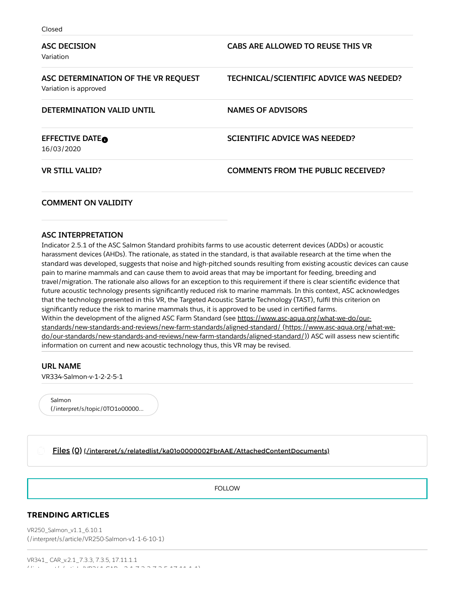| <b>ASC DECISION</b><br>Variation                             | CABS ARE ALLOWED TO REUSE THIS VR         |
|--------------------------------------------------------------|-------------------------------------------|
| ASC DETERMINATION OF THE VR REQUEST<br>Variation is approved | TECHNICAL/SCIENTIFIC ADVICE WAS NEEDED?   |
| DETERMINATION VALID UNTIL                                    | <b>NAMES OF ADVISORS</b>                  |
| <b>EFFECTIVE DATEO</b><br>16/03/2020                         | SCIENTIFIC ADVICE WAS NEEDED?             |
| <b>VR STILL VALID?</b>                                       | <b>COMMENTS FROM THE PUBLIC RECEIVED?</b> |

#### **COMMENT ON VALIDITY**

#### **ASC INTERPRETATION**

Indicator 2.5.1 of the ASC Salmon Standard prohibits farms to use acoustic deterrent devices (ADDs) or acoustic harassment devices (AHDs). The rationale, as stated in the standard, is that available research at the time when the standard was developed, suggests that noise and high-pitched sounds resulting from existing acoustic devices can cause pain to marine mammals and can cause them to avoid areas that may be important for feeding, breeding and travel/migration. The rationale also allows for an exception to this requirement if there is clear scientific evidence that future acoustic technology presents significantly reduced risk to marine mammals. In this context, ASC acknowledges that the technology presented in this VR, the Targeted Acoustic Startle Technology (TAST), fulfil this criterion on significantly reduce the risk to marine mammals thus, it is approved to be used in certified farms. Within the development of the aligned ASC Farm Standard (see https://www.asc-aqua.org/what-we-do/ourstandards/new-standards-and-reviews/new-farm-standards/aligned-standard/ (https://www.asc-aqua.org/what-we[do/our-standards/new-standards-and-reviews/new-farm-standards/aligned-standard/\)\)](https://www.asc-aqua.org/what-we-do/our-standards/new-standards-and-reviews/new-farm-standards/aligned-standard/) ASC will assess new scientific information on current and new acoustic technology thus, this VR may be revised.

### **URL NAME**

Ĥ

VR334-Salmon-v-1-2-2-5-1

Salmon [\(/interpret/s/topic/0TO1o00000…](https://asc-portal.force.com/interpret/s/topic/0TO1o0000008p7UGAQ/salmon)

Files (0) [\(/interpret/s/relatedlist/ka01o0000002FbrAAE/AttachedContentDocuments\)](https://asc-portal.force.com/interpret/s/relatedlist/ka01o0000002FbrAAE/AttachedContentDocuments)

FOLLOW

## **TRENDING ARTICLES**

VR250\_Salmon\_v1.1\_6.10.1 [\(/interpret/s/article/VR250-Salmon-v1-1-6-10-1\)](https://asc-portal.force.com/interpret/s/article/VR250-Salmon-v1-1-6-10-1)